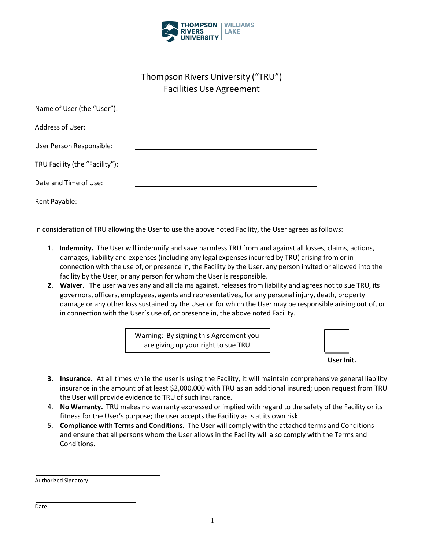

## Thompson Rivers University ("TRU") Facilities Use Agreement

| Name of User (the "User"):     |  |
|--------------------------------|--|
| Address of User:               |  |
| User Person Responsible:       |  |
| TRU Facility (the "Facility"): |  |
| Date and Time of Use:          |  |
| Rent Payable:                  |  |

In consideration of TRU allowing the User to use the above noted Facility, the User agrees as follows:

- 1. **Indemnity.** The User will indemnify and save harmless TRU from and against all losses, claims, actions, damages, liability and expenses(including any legal expenses incurred by TRU) arising from or in connection with the use of, or presence in, the Facility by the User, any person invited or allowed into the facility by the User, or any person for whom the User is responsible.
- **2. Waiver.** The user waives any and all claims against, releases from liability and agrees not to sue TRU, its governors, officers, employees, agents and representatives, for any personal injury, death, property damage or any other loss sustained by the User or for which the User may be responsible arising out of, or in connection with the User's use of, or presence in, the above noted Facility.

Warning: By signing this Agreement you are giving up your right to sue TRU

| User Ini | it. |
|----------|-----|
|          |     |
|          |     |

- **3. Insurance.** At all times while the user is using the Facility, it will maintain comprehensive general liability insurance in the amount of at least \$2,000,000 with TRU as an additional insured; upon request from TRU the User will provide evidence to TRU of such insurance.
- 4. **No Warranty.** TRU makes no warranty expressed or implied with regard to the safety of the Facility or its fitness for the User's purpose; the user accepts the Facility as is at its own risk.
- 5. **Compliance with Terms and Conditions.** The User will comply with the attached terms and Conditions and ensure that all persons whom the User allows in the Facility will also comply with the Terms and Conditions.

Authorized Signatory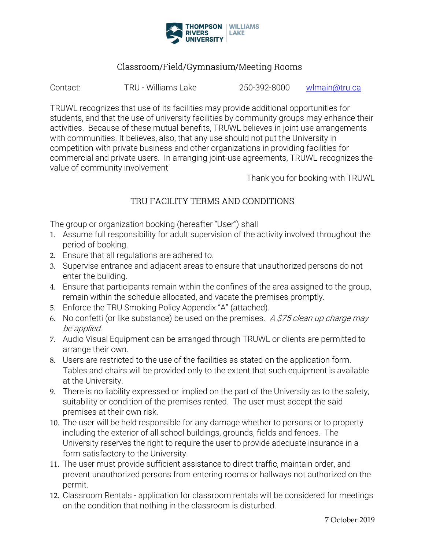

### Classroom/Field/Gymnasium/Meeting Rooms

Contact: TRU - Williams Lake 250-392-8000 wlmain@tru.ca

TRUWL recognizes that use of its facilities may provide additional opportunities for students, and that the use of university facilities by community groups may enhance their activities. Because of these mutual benefits, TRUWL believes in joint use arrangements with communities. It believes, also, that any use should not put the University in competition with private business and other organizations in providing facilities for commercial and private users. In arranging joint-use agreements, TRUWL recognizes the value of community involvement

Thank you for booking with TRUWL

# TRU FACILITY TERMS AND CONDITIONS

The group or organization booking (hereafter "User") shall

- 1. Assume full responsibility for adult supervision of the activity involved throughout the period of booking.
- 2. Ensure that all regulations are adhered to.
- 3. Supervise entrance and adjacent areas to ensure that unauthorized persons do not enter the building.
- 4. Ensure that participants remain within the confines of the area assigned to the group, remain within the schedule allocated, and vacate the premises promptly.
- 5. Enforce the TRU Smoking Policy Appendix "A" (attached).
- 6. No confetti (or like substance) be used on the premises. A  $$75$  clean up charge may be applied.
- 7. Audio Visual Equipment can be arranged through TRUWL or clients are permitted to arrange their own.
- 8. Users are restricted to the use of the facilities as stated on the application form. Tables and chairs will be provided only to the extent that such equipment is available at the University.
- 9. There is no liability expressed or implied on the part of the University as to the safety, suitability or condition of the premises rented. The user must accept the said premises at their own risk.
- 10. The user will be held responsible for any damage whether to persons or to property including the exterior of all school buildings, grounds, fields and fences. The University reserves the right to require the user to provide adequate insurance in a form satisfactory to the University.
- 11. The user must provide sufficient assistance to direct traffic, maintain order, and prevent unauthorized persons from entering rooms or hallways not authorized on the permit.
- 12. Classroom Rentals application for classroom rentals will be considered for meetings on the condition that nothing in the classroom is disturbed.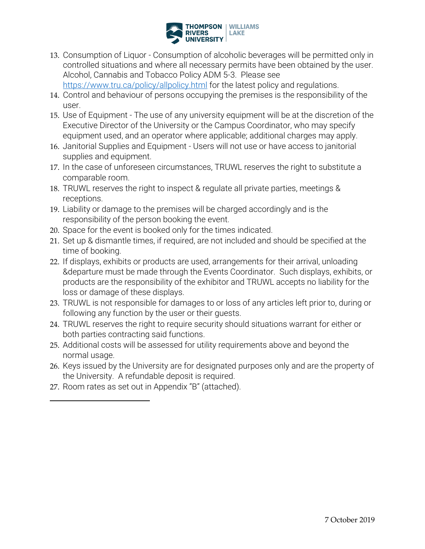

13. Consumption of Liquor - Consumption of alcoholic beverages will be permitted only in controlled situations and where all necessary permits have been obtained by the user. Alcohol, Cannabis and Tobacco Policy ADM 5-3. Please see <https://www.tru.ca/policy/allpolicy.html> for the latest policy and regulations.

14. Control and behaviour of persons occupying the premises is the responsibility of the user.

- 15. Use of Equipment The use of any university equipment will be at the discretion of the Executive Director of the University or the Campus Coordinator, who may specify equipment used, and an operator where applicable; additional charges may apply.
- 16. Janitorial Supplies and Equipment Users will not use or have access to janitorial supplies and equipment.
- 17. In the case of unforeseen circumstances, TRUWL reserves the right to substitute a comparable room.
- 18. TRUWL reserves the right to inspect & regulate all private parties, meetings & receptions.
- 19. Liability or damage to the premises will be charged accordingly and is the responsibility of the person booking the event.
- 20. Space for the event is booked only for the times indicated.
- 21. Set up & dismantle times, if required, are not included and should be specified at the time of booking.
- 22. If displays, exhibits or products are used, arrangements for their arrival, unloading &departure must be made through the Events Coordinator. Such displays, exhibits, or products are the responsibility of the exhibitor and TRUWL accepts no liability for the loss or damage of these displays.
- 23. TRUWL is not responsible for damages to or loss of any articles left prior to, during or following any function by the user or their guests.
- 24. TRUWL reserves the right to require security should situations warrant for either or both parties contracting said functions.
- 25. Additional costs will be assessed for utility requirements above and beyond the normal usage.
- 26. Keys issued by the University are for designated purposes only and are the property of the University. A refundable deposit is required.
- 27. Room rates as set out in Appendix "B" (attached).

 $\overline{a}$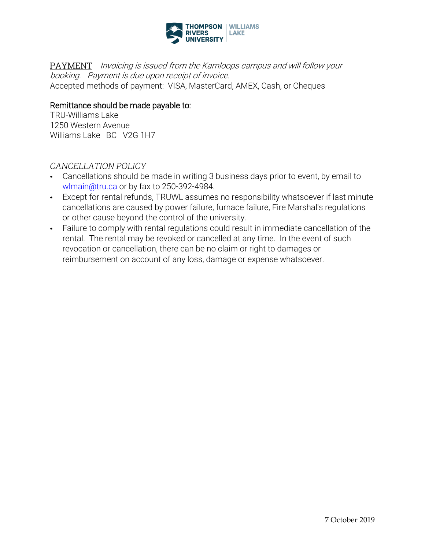

PAYMENT Invoicing is issued from the Kamloops campus and will follow your booking. Payment is due upon receipt of invoice. Accepted methods of payment: VISA, MasterCard, AMEX, Cash, or Cheques

#### Remittance should be made payable to:

TRU-Williams Lake 1250 Western Avenue Williams Lake BC V2G 1H7

#### CANCELLATION POLICY

- Cancellations should be made in writing 3 business days prior to event, by email to wlmain@tru.ca or by fax to 250-392-4984.
- Except for rental refunds, TRUWL assumes no responsibility whatsoever if last minute cancellations are caused by power failure, furnace failure, Fire Marshal's regulations or other cause beyond the control of the university.
- Failure to comply with rental regulations could result in immediate cancellation of the  $\bullet$  . rental. The rental may be revoked or cancelled at any time. In the event of such revocation or cancellation, there can be no claim or right to damages or reimbursement on account of any loss, damage or expense whatsoever.